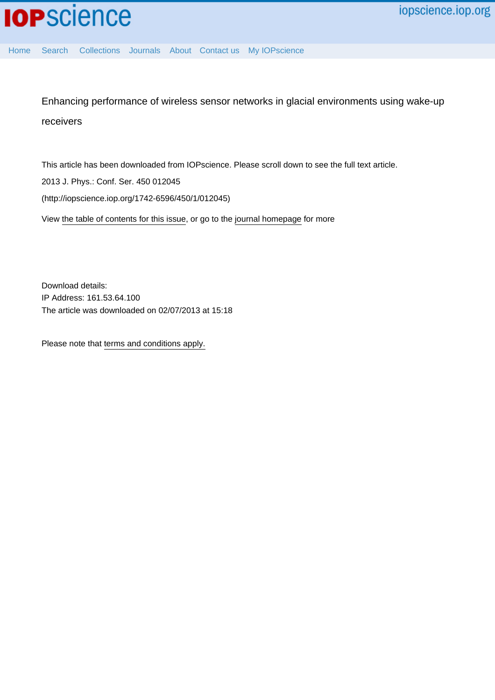Enhancing performance of wireless sensor networks in glacial environments using wake-up receivers

This article has been downloaded from IOPscience. Please scroll down to see the full text article. 2013 J. Phys.: Conf. Ser. 450 012045 (http://iopscience.iop.org/1742-6596/450/1/012045) View [the table of contents for this issue](http://iopscience.iop.org/1742-6596/450/1), or go to the [journal homepage](http://iopscience.iop.org/1742-6596) for more

Download details: IP Address: 161.53.64.100 The article was downloaded on 02/07/2013 at 15:18

Please note that [terms and conditions apply.](http://iopscience.iop.org/page/terms)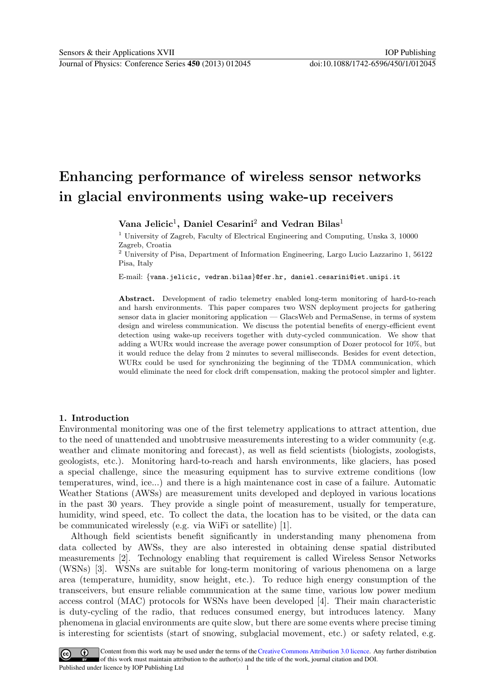# Enhancing performance of wireless sensor networks in glacial environments using wake-up receivers

Vana Jelicic<sup>1</sup>, Daniel Cesarini<sup>2</sup> and Vedran Bilas<sup>1</sup>

<sup>1</sup> University of Zagreb, Faculty of Electrical Engineering and Computing, Unska 3, 10000 Zagreb, Croatia

<sup>2</sup> University of Pisa, Department of Information Engineering, Largo Lucio Lazzarino 1, 56122 Pisa, Italy

E-mail: {vana.jelicic, vedran.bilas}@fer.hr, daniel.cesarini@iet.unipi.it

Abstract. Development of radio telemetry enabled long-term monitoring of hard-to-reach and harsh environments. This paper compares two WSN deployment projects for gathering sensor data in glacier monitoring application — GlacsWeb and PermaSense, in terms of system design and wireless communication. We discuss the potential benefits of energy-efficient event detection using wake-up receivers together with duty-cycled communication. We show that adding a WURx would increase the average power consumption of Dozer protocol for 10%, but it would reduce the delay from 2 minutes to several milliseconds. Besides for event detection, WURx could be used for synchronizing the beginning of the TDMA communication, which would eliminate the need for clock drift compensation, making the protocol simpler and lighter.

#### 1. Introduction

Environmental monitoring was one of the first telemetry applications to attract attention, due to the need of unattended and unobtrusive measurements interesting to a wider community (e.g. weather and climate monitoring and forecast), as well as field scientists (biologists, zoologists, geologists, etc.). Monitoring hard-to-reach and harsh environments, like glaciers, has posed a special challenge, since the measuring equipment has to survive extreme conditions (low temperatures, wind, ice...) and there is a high maintenance cost in case of a failure. Automatic Weather Stations (AWSs) are measurement units developed and deployed in various locations in the past 30 years. They provide a single point of measurement, usually for temperature, humidity, wind speed, etc. To collect the data, the location has to be visited, or the data can be communicated wirelessly (e.g. via WiFi or satellite) [1].

Although field scientists benefit significantly in understanding many phenomena from data collected by AWSs, they are also interested in obtaining dense spatial distributed measurements [2]. Technology enabling that requirement is called Wireless Sensor Networks (WSNs) [3]. WSNs are suitable for long-term monitoring of various phenomena on a large area (temperature, humidity, snow height, etc.). To reduce high energy consumption of the transceivers, but ensure reliable communication at the same time, various low power medium access control (MAC) protocols for WSNs have been developed [4]. Their main characteristic is duty-cycling of the radio, that reduces consumed energy, but introduces latency. Many phenomena in glacial environments are quite slow, but there are some events where precise timing is interesting for scientists (start of snowing, subglacial movement, etc.) or safety related, e.g.

Content from this work may be used under the terms of the Creative Commons Attribution 3.0 licence. Any further distribution  $(cc)$ of this work must maintain attribution to the author(s) and the title of the work, journal citation and DOI. Published under licence by IOP Publishing Ltd 1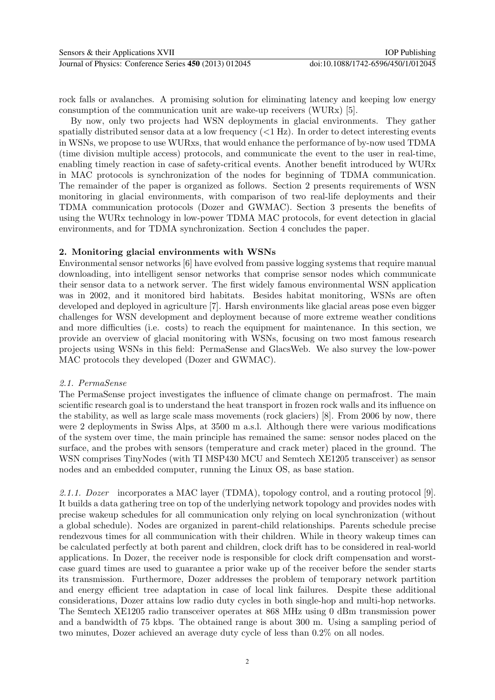rock falls or avalanches. A promising solution for eliminating latency and keeping low energy consumption of the communication unit are wake-up receivers (WURx) [5].

By now, only two projects had WSN deployments in glacial environments. They gather spatially distributed sensor data at a low frequency  $\langle$ <1 Hz). In order to detect interesting events in WSNs, we propose to use WURxs, that would enhance the performance of by-now used TDMA (time division multiple access) protocols, and communicate the event to the user in real-time, enabling timely reaction in case of safety-critical events. Another benefit introduced by WURx in MAC protocols is synchronization of the nodes for beginning of TDMA communication. The remainder of the paper is organized as follows. Section 2 presents requirements of WSN monitoring in glacial environments, with comparison of two real-life deployments and their TDMA communication protocols (Dozer and GWMAC). Section 3 presents the benefits of using the WURx technology in low-power TDMA MAC protocols, for event detection in glacial environments, and for TDMA synchronization. Section 4 concludes the paper.

## 2. Monitoring glacial environments with WSNs

Environmental sensor networks [6] have evolved from passive logging systems that require manual downloading, into intelligent sensor networks that comprise sensor nodes which communicate their sensor data to a network server. The first widely famous environmental WSN application was in 2002, and it monitored bird habitats. Besides habitat monitoring, WSNs are often developed and deployed in agriculture [7]. Harsh environments like glacial areas pose even bigger challenges for WSN development and deployment because of more extreme weather conditions and more difficulties (i.e. costs) to reach the equipment for maintenance. In this section, we provide an overview of glacial monitoring with WSNs, focusing on two most famous research projects using WSNs in this field: PermaSense and GlacsWeb. We also survey the low-power MAC protocols they developed (Dozer and GWMAC).

## 2.1. PermaSense

The PermaSense project investigates the influence of climate change on permafrost. The main scientific research goal is to understand the heat transport in frozen rock walls and its influence on the stability, as well as large scale mass movements (rock glaciers) [8]. From 2006 by now, there were 2 deployments in Swiss Alps, at 3500 m a.s.l. Although there were various modifications of the system over time, the main principle has remained the same: sensor nodes placed on the surface, and the probes with sensors (temperature and crack meter) placed in the ground. The WSN comprises TinyNodes (with TI MSP430 MCU and Semtech XE1205 transceiver) as sensor nodes and an embedded computer, running the Linux OS, as base station.

2.1.1. Dozer incorporates a MAC layer (TDMA), topology control, and a routing protocol [9]. It builds a data gathering tree on top of the underlying network topology and provides nodes with precise wakeup schedules for all communication only relying on local synchronization (without a global schedule). Nodes are organized in parent-child relationships. Parents schedule precise rendezvous times for all communication with their children. While in theory wakeup times can be calculated perfectly at both parent and children, clock drift has to be considered in real-world applications. In Dozer, the receiver node is responsible for clock drift compensation and worstcase guard times are used to guarantee a prior wake up of the receiver before the sender starts its transmission. Furthermore, Dozer addresses the problem of temporary network partition and energy efficient tree adaptation in case of local link failures. Despite these additional considerations, Dozer attains low radio duty cycles in both single-hop and multi-hop networks. The Semtech XE1205 radio transceiver operates at 868 MHz using 0 dBm transmission power and a bandwidth of 75 kbps. The obtained range is about 300 m. Using a sampling period of two minutes, Dozer achieved an average duty cycle of less than 0.2% on all nodes.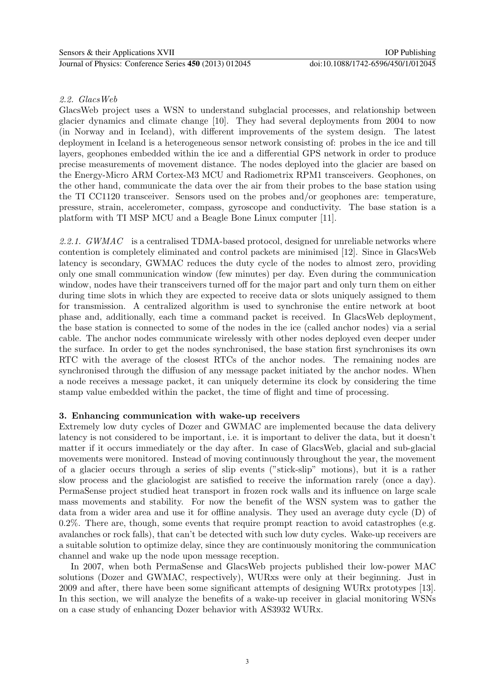# 2.2. GlacsWeb

GlacsWeb project uses a WSN to understand subglacial processes, and relationship between glacier dynamics and climate change [10]. They had several deployments from 2004 to now (in Norway and in Iceland), with different improvements of the system design. The latest deployment in Iceland is a heterogeneous sensor network consisting of: probes in the ice and till layers, geophones embedded within the ice and a differential GPS network in order to produce precise measurements of movement distance. The nodes deployed into the glacier are based on the Energy-Micro ARM Cortex-M3 MCU and Radiometrix RPM1 transceivers. Geophones, on the other hand, communicate the data over the air from their probes to the base station using the TI CC1120 transceiver. Sensors used on the probes and/or geophones are: temperature, pressure, strain, accelerometer, compass, gyroscope and conductivity. The base station is a platform with TI MSP MCU and a Beagle Bone Linux computer [11].

2.2.1. GWMAC is a centralised TDMA-based protocol, designed for unreliable networks where contention is completely eliminated and control packets are minimised [12]. Since in GlacsWeb latency is secondary, GWMAC reduces the duty cycle of the nodes to almost zero, providing only one small communication window (few minutes) per day. Even during the communication window, nodes have their transceivers turned off for the major part and only turn them on either during time slots in which they are expected to receive data or slots uniquely assigned to them for transmission. A centralized algorithm is used to synchronise the entire network at boot phase and, additionally, each time a command packet is received. In GlacsWeb deployment, the base station is connected to some of the nodes in the ice (called anchor nodes) via a serial cable. The anchor nodes communicate wirelessly with other nodes deployed even deeper under the surface. In order to get the nodes synchronised, the base station first synchronises its own RTC with the average of the closest RTCs of the anchor nodes. The remaining nodes are synchronised through the diffusion of any message packet initiated by the anchor nodes. When a node receives a message packet, it can uniquely determine its clock by considering the time stamp value embedded within the packet, the time of flight and time of processing.

## 3. Enhancing communication with wake-up receivers

Extremely low duty cycles of Dozer and GWMAC are implemented because the data delivery latency is not considered to be important, i.e. it is important to deliver the data, but it doesn't matter if it occurs immediately or the day after. In case of GlacsWeb, glacial and sub-glacial movements were monitored. Instead of moving continuously throughout the year, the movement of a glacier occurs through a series of slip events ("stick-slip" motions), but it is a rather slow process and the glaciologist are satisfied to receive the information rarely (once a day). PermaSense project studied heat transport in frozen rock walls and its influence on large scale mass movements and stability. For now the benefit of the WSN system was to gather the data from a wider area and use it for offline analysis. They used an average duty cycle (D) of 0.2%. There are, though, some events that require prompt reaction to avoid catastrophes (e.g. avalanches or rock falls), that can't be detected with such low duty cycles. Wake-up receivers are a suitable solution to optimize delay, since they are continuously monitoring the communication channel and wake up the node upon message reception.

In 2007, when both PermaSense and GlacsWeb projects published their low-power MAC solutions (Dozer and GWMAC, respectively), WURxs were only at their beginning. Just in 2009 and after, there have been some significant attempts of designing WURx prototypes [13]. In this section, we will analyze the benefits of a wake-up receiver in glacial monitoring WSNs on a case study of enhancing Dozer behavior with AS3932 WURx.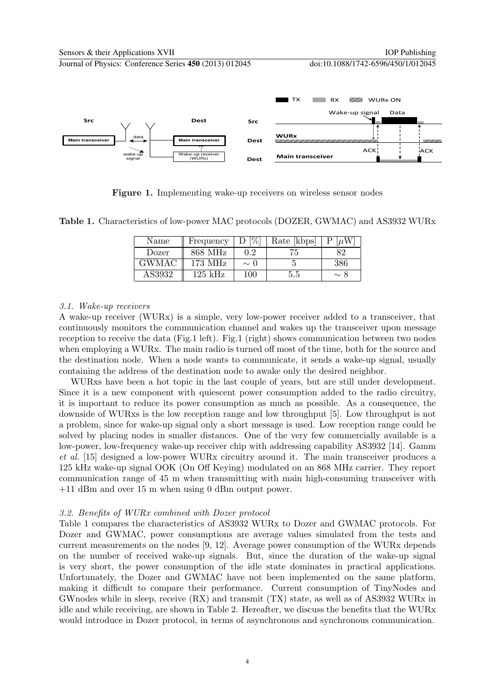Journal of Physics: Conference Series **450** (2013) 012045 doi:10.1088/1742-6596/450/1/012045



Figure 1. Implementing wake-up receivers on wireless sensor nodes

Table 1. Characteristics of low-power MAC protocols (DOZER, GWMAC) and AS3932 WURx

| Name   | Frequency | 1%        | Rate [kbps] | $ \mu$ W      |
|--------|-----------|-----------|-------------|---------------|
| Dozer  | 868 MHz   | 0.2       | 45.         | 89            |
| GWMAC  | 173 MHz   | $\sim$ () |             | 386           |
| AS3932 | 125 kHz   | $100 -$   | 5.5         | $\sim$ $\sim$ |

## 3.1. Wake-up receivers

A wake-up receiver (WURx) is a simple, very low-power receiver added to a transceiver, that continuously monitors the communication channel and wakes up the transceiver upon message reception to receive the data (Fig.1 left). Fig.1 (right) shows communication between two nodes when employing a WURx. The main radio is turned off most of the time, both for the source and the destination node. When a node wants to communicate, it sends a wake-up signal, usually containing the address of the destination node to awake only the desired neighbor.

WURxs have been a hot topic in the last couple of years, but are still under development. Since it is a new component with quiescent power consumption added to the radio circuitry, it is important to reduce its power consumption as much as possible. As a consequence, the downside of WURxs is the low reception range and low throughput [5]. Low throughput is not a problem, since for wake-up signal only a short message is used. Low reception range could be solved by placing nodes in smaller distances. One of the very few commercially available is a low-power, low-frequency wake-up receiver chip with addressing capability AS3932 [14]. Gamm et al. [15] designed a low-power WURx circuitry around it. The main transceiver produces a 125 kHz wake-up signal OOK (On Off Keying) modulated on an 868 MHz carrier. They report communication range of 45 m when transmitting with main high-consuming transceiver with +11 dBm and over 15 m when using 0 dBm output power.

## 3.2. Benefits of WURx combined with Dozer protocol

Table 1 compares the characteristics of AS3932 WURx to Dozer and GWMAC protocols. For Dozer and GWMAC, power consumptions are average values simulated from the tests and current measurements on the nodes [9, 12]. Average power consumption of the WURx depends on the number of received wake-up signals. But, since the duration of the wake-up signal is very short, the power consumption of the idle state dominates in practical applications. Unfortunately, the Dozer and GWMAC have not been implemented on the same platform, making it difficult to compare their performance. Current consumption of TinyNodes and GWnodes while in sleep, receive (RX) and transmit (TX) state, as well as of AS3932 WURx in idle and while receiving, are shown in Table 2. Hereafter, we discuss the benefits that the WURx would introduce in Dozer protocol, in terms of asynchronous and synchronous communication.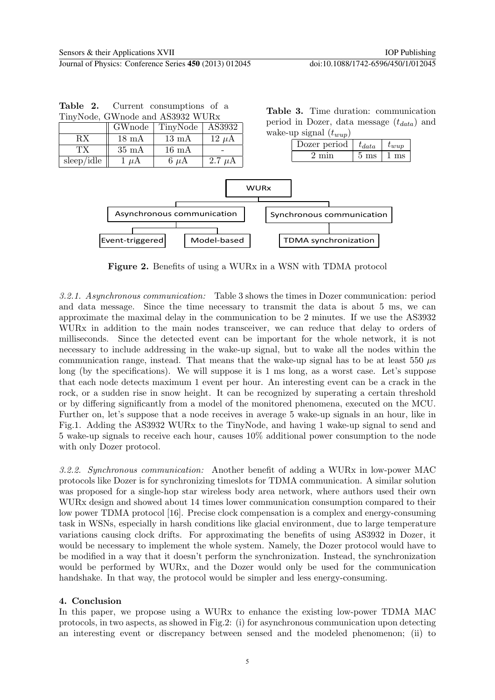Table 3. Time duration: communication

|                            |                 | inyNode, GW node and AS3932 WURx    |             |  |                           | period in Dozer, data message $(t_{data})$ and |  |                |                    |  |
|----------------------------|-----------------|-------------------------------------|-------------|--|---------------------------|------------------------------------------------|--|----------------|--------------------|--|
|                            | GWnode          | TinyNode                            | AS3932      |  |                           | wake-up signal $(t_{wup})$                     |  |                |                    |  |
| RX                         | $18 \text{ mA}$ | $13 \text{ mA}$                     | $12 \mu A$  |  |                           |                                                |  |                |                    |  |
| TX.                        | $35 \text{ mA}$ | $16 \text{ mA}$                     |             |  |                           | Dozer period                                   |  | $t_{data}$     | $t_{wup}$          |  |
| sleep/idle                 | $1 \mu A$       | $6 \mu A$                           | 2.7 $\mu$ A |  |                           | $2 \text{ min}$                                |  | $5 \text{ ms}$ | ms<br>$\mathbf{I}$ |  |
|                            |                 |                                     |             |  |                           |                                                |  |                |                    |  |
| <b>WURX</b>                |                 |                                     |             |  |                           |                                                |  |                |                    |  |
|                            |                 |                                     |             |  |                           |                                                |  |                |                    |  |
|                            |                 |                                     |             |  |                           |                                                |  |                |                    |  |
| Asynchronous communication |                 |                                     |             |  | Synchronous communication |                                                |  |                |                    |  |
|                            |                 |                                     |             |  |                           |                                                |  |                |                    |  |
|                            | Event-triggered | Model-based<br>TDMA synchronization |             |  |                           |                                                |  |                |                    |  |

Table 2. Current consumptions of a TinyNode, GWnode and AS3932 WURx

Figure 2. Benefits of using a WURx in a WSN with TDMA protocol

3.2.1. Asynchronous communication: Table 3 shows the times in Dozer communication: period and data message. Since the time necessary to transmit the data is about 5 ms, we can approximate the maximal delay in the communication to be 2 minutes. If we use the AS3932 WURx in addition to the main nodes transceiver, we can reduce that delay to orders of milliseconds. Since the detected event can be important for the whole network, it is not necessary to include addressing in the wake-up signal, but to wake all the nodes within the communication range, instead. That means that the wake-up signal has to be at least 550  $\mu$ s long (by the specifications). We will suppose it is 1 ms long, as a worst case. Let's suppose that each node detects maximum 1 event per hour. An interesting event can be a crack in the rock, or a sudden rise in snow height. It can be recognized by superating a certain threshold or by differing significantly from a model of the monitored phenomena, executed on the MCU. Further on, let's suppose that a node receives in average 5 wake-up signals in an hour, like in Fig.1. Adding the AS3932 WURx to the TinyNode, and having 1 wake-up signal to send and 5 wake-up signals to receive each hour, causes 10% additional power consumption to the node with only Dozer protocol.

3.2.2. Synchronous communication: Another benefit of adding a WURx in low-power MAC protocols like Dozer is for synchronizing timeslots for TDMA communication. A similar solution was proposed for a single-hop star wireless body area network, where authors used their own WURx design and showed about 14 times lower communication consumption compared to their low power TDMA protocol [16]. Precise clock compensation is a complex and energy-consuming task in WSNs, especially in harsh conditions like glacial environment, due to large temperature variations causing clock drifts. For approximating the benefits of using AS3932 in Dozer, it would be necessary to implement the whole system. Namely, the Dozer protocol would have to be modified in a way that it doesn't perform the synchronization. Instead, the synchronization would be performed by WURx, and the Dozer would only be used for the communication handshake. In that way, the protocol would be simpler and less energy-consuming.

## 4. Conclusion

In this paper, we propose using a WURx to enhance the existing low-power TDMA MAC protocols, in two aspects, as showed in Fig.2: (i) for asynchronous communication upon detecting an interesting event or discrepancy between sensed and the modeled phenomenon; (ii) to